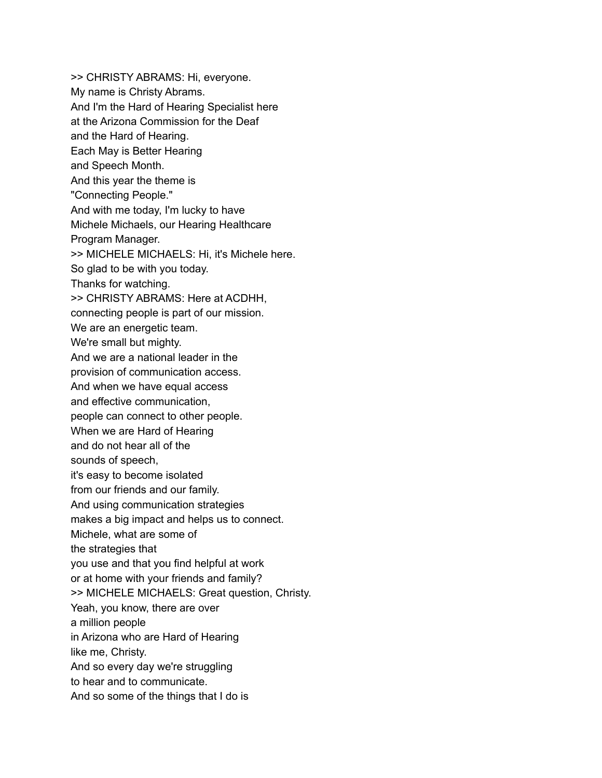>> CHRISTY ABRAMS: Hi, everyone. My name is Christy Abrams. And I'm the Hard of Hearing Specialist here at the Arizona Commission for the Deaf and the Hard of Hearing. Each May is Better Hearing and Speech Month. And this year the theme is "Connecting People." And with me today, I'm lucky to have Michele Michaels, our Hearing Healthcare Program Manager. >> MICHELE MICHAELS: Hi, it's Michele here. So glad to be with you today. Thanks for watching. >> CHRISTY ABRAMS: Here at ACDHH, connecting people is part of our mission. We are an energetic team. We're small but mighty. And we are a national leader in the provision of communication access. And when we have equal access and effective communication, people can connect to other people. When we are Hard of Hearing and do not hear all of the sounds of speech, it's easy to become isolated from our friends and our family. And using communication strategies makes a big impact and helps us to connect. Michele, what are some of the strategies that you use and that you find helpful at work or at home with your friends and family? >> MICHELE MICHAELS: Great question, Christy. Yeah, you know, there are over a million people in Arizona who are Hard of Hearing like me, Christy. And so every day we're struggling to hear and to communicate. And so some of the things that I do is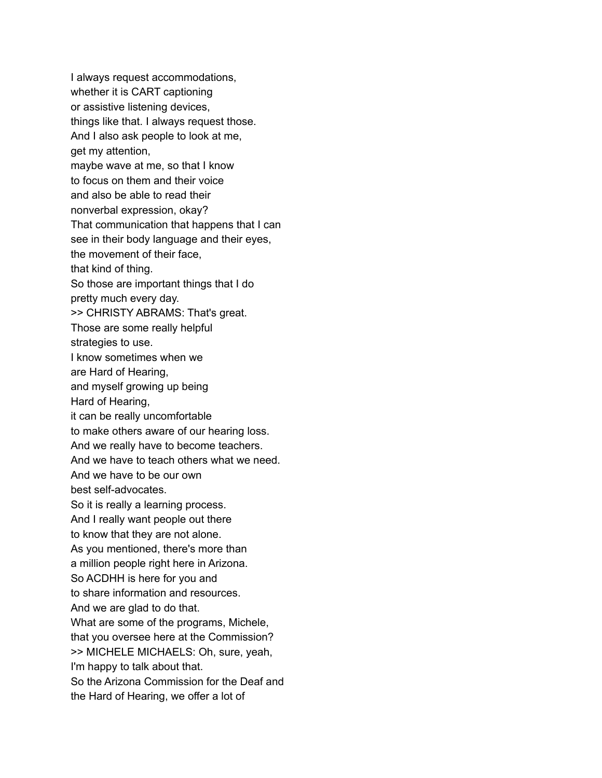I always request accommodations, whether it is CART captioning or assistive listening devices, things like that. I always request those. And I also ask people to look at me, get my attention, maybe wave at me, so that I know to focus on them and their voice and also be able to read their nonverbal expression, okay? That communication that happens that I can see in their body language and their eyes, the movement of their face, that kind of thing. So those are important things that I do pretty much every day. >> CHRISTY ABRAMS: That's great. Those are some really helpful strategies to use. I know sometimes when we are Hard of Hearing, and myself growing up being Hard of Hearing, it can be really uncomfortable to make others aware of our hearing loss. And we really have to become teachers. And we have to teach others what we need. And we have to be our own best self-advocates. So it is really a learning process. And I really want people out there to know that they are not alone. As you mentioned, there's more than a million people right here in Arizona. So ACDHH is here for you and to share information and resources. And we are glad to do that. What are some of the programs, Michele, that you oversee here at the Commission? >> MICHELE MICHAELS: Oh, sure, yeah, I'm happy to talk about that. So the Arizona Commission for the Deaf and the Hard of Hearing, we offer a lot of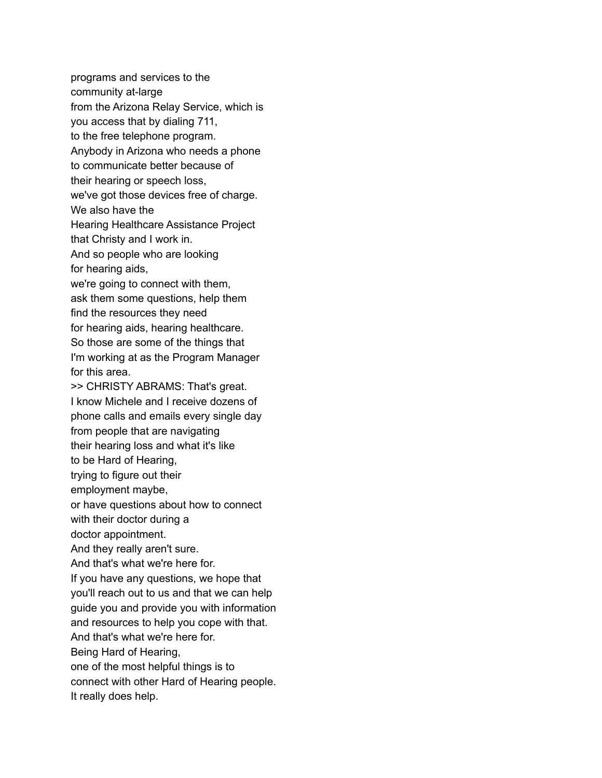programs and services to the community at-large from the Arizona Relay Service, which is you access that by dialing 711, to the free telephone program. Anybody in Arizona who needs a phone to communicate better because of their hearing or speech loss, we've got those devices free of charge. We also have the Hearing Healthcare Assistance Project that Christy and I work in. And so people who are looking for hearing aids, we're going to connect with them, ask them some questions, help them find the resources they need for hearing aids, hearing healthcare. So those are some of the things that I'm working at as the Program Manager for this area. >> CHRISTY ABRAMS: That's great. I know Michele and I receive dozens of phone calls and emails every single day from people that are navigating their hearing loss and what it's like to be Hard of Hearing, trying to figure out their employment maybe, or have questions about how to connect with their doctor during a doctor appointment. And they really aren't sure. And that's what we're here for. If you have any questions, we hope that you'll reach out to us and that we can help guide you and provide you with information and resources to help you cope with that. And that's what we're here for. Being Hard of Hearing, one of the most helpful things is to connect with other Hard of Hearing people. It really does help.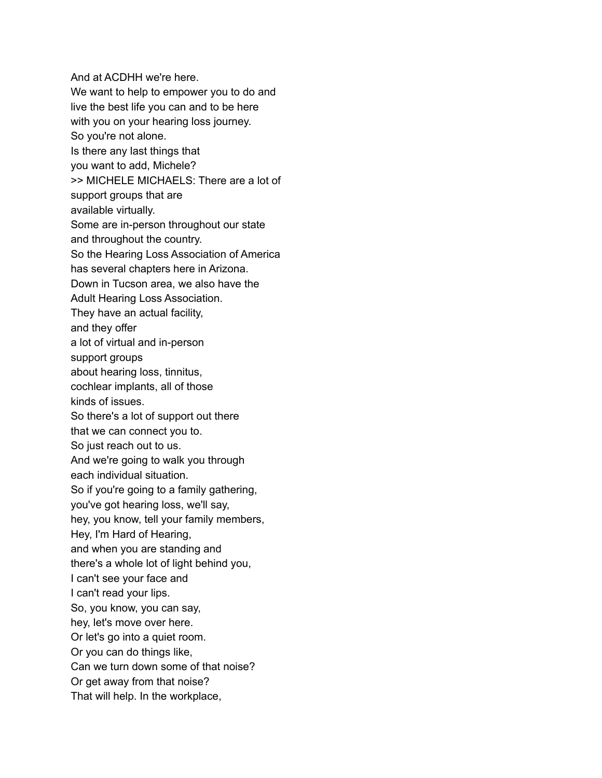And at ACDHH we're here. We want to help to empower you to do and live the best life you can and to be here with you on your hearing loss journey. So you're not alone. Is there any last things that you want to add, Michele? >> MICHELE MICHAELS: There are a lot of support groups that are available virtually. Some are in-person throughout our state and throughout the country. So the Hearing Loss Association of America has several chapters here in Arizona. Down in Tucson area, we also have the Adult Hearing Loss Association. They have an actual facility, and they offer a lot of virtual and in-person support groups about hearing loss, tinnitus, cochlear implants, all of those kinds of issues. So there's a lot of support out there that we can connect you to. So just reach out to us. And we're going to walk you through each individual situation. So if you're going to a family gathering, you've got hearing loss, we'll say, hey, you know, tell your family members, Hey, I'm Hard of Hearing, and when you are standing and there's a whole lot of light behind you, I can't see your face and I can't read your lips. So, you know, you can say, hey, let's move over here. Or let's go into a quiet room. Or you can do things like, Can we turn down some of that noise? Or get away from that noise? That will help. In the workplace,